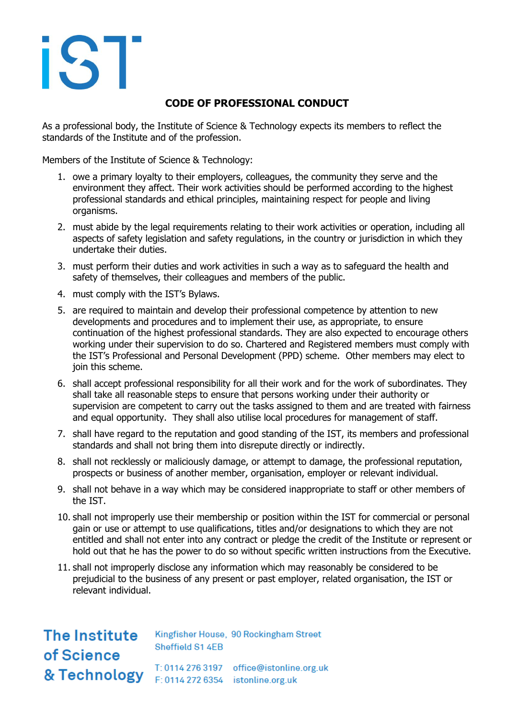## iST

## **CODE OF PROFESSIONAL CONDUCT**

As a professional body, the Institute of Science & Technology expects its members to reflect the standards of the Institute and of the profession.

Members of the Institute of Science & Technology:

- 1. owe a primary loyalty to their employers, colleagues, the community they serve and the environment they affect. Their work activities should be performed according to the highest professional standards and ethical principles, maintaining respect for people and living organisms.
- 2. must abide by the legal requirements relating to their work activities or operation, including all aspects of safety legislation and safety regulations, in the country or jurisdiction in which they undertake their duties.
- 3. must perform their duties and work activities in such a way as to safeguard the health and safety of themselves, their colleagues and members of the public.
- 4. must comply with the IST's Bylaws.
- 5. are required to maintain and develop their professional competence by attention to new developments and procedures and to implement their use, as appropriate, to ensure continuation of the highest professional standards. They are also expected to encourage others working under their supervision to do so. Chartered and Registered members must comply with the IST's Professional and Personal Development (PPD) scheme. Other members may elect to join this scheme.
- 6. shall accept professional responsibility for all their work and for the work of subordinates. They shall take all reasonable steps to ensure that persons working under their authority or supervision are competent to carry out the tasks assigned to them and are treated with fairness and equal opportunity. They shall also utilise local procedures for management of staff.
- 7. shall have regard to the reputation and good standing of the IST, its members and professional standards and shall not bring them into disrepute directly or indirectly.
- 8. shall not recklessly or maliciously damage, or attempt to damage, the professional reputation, prospects or business of another member, organisation, employer or relevant individual.
- 9. shall not behave in a way which may be considered inappropriate to staff or other members of the IST.
- 10. shall not improperly use their membership or position within the IST for commercial or personal gain or use or attempt to use qualifications, titles and/or designations to which they are not entitled and shall not enter into any contract or pledge the credit of the Institute or represent or hold out that he has the power to do so without specific written instructions from the Executive.
- 11. shall not improperly disclose any information which may reasonably be considered to be prejudicial to the business of any present or past employer, related organisation, the IST or relevant individual.

The Institute Kingfisher House, 90 Rockingham Street Sheffield S1 4EB of Science T: 0114 276 3197 office@istonline.org.uk 8 Technology T: 0114 276 3197 office@istonline&